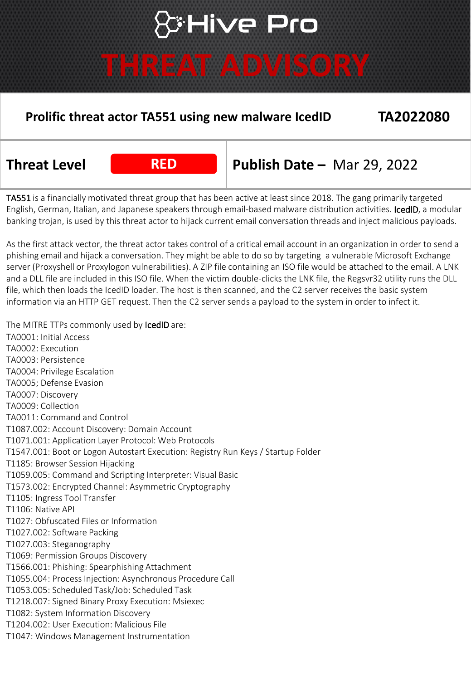# ⊁Hive Pro

### **THREAT ADVISORY**

### **Prolific threat actor TA551 using new malware IcedID TA2022080**

**Threat Level RED Publish Date –** Mar 29, 2022

TA551 is a financially motivated threat group that has been active at least since 2018. The gang primarily targeted English, German, Italian, and Japanese speakers through email-based malware distribution activities. IcedID, a modular banking trojan, is used by this threat actor to hijack current email conversation threads and inject malicious payloads.

As the first attack vector, the threat actor takes control of a critical email account in an organization in order to send a phishing email and hijack a conversation. They might be able to do so by targeting a vulnerable Microsoft Exchange server (Proxyshell or Proxylogon vulnerabilities). A ZIP file containing an ISO file would be attached to the email. A LNK and a DLL file are included in this ISO file. When the victim double-clicks the LNK file, the Regsvr32 utility runs the DLL file, which then loads the IcedID loader. The host is then scanned, and the C2 server receives the basic system information via an HTTP GET request. Then the C2 server sends a payload to the system in order to infect it.

The MITRE TTPs commonly used by IcedID are:

TA0001: Initial Access TA0002: Execution TA0003: Persistence TA0004: Privilege Escalation TA0005; Defense Evasion TA0007: Discovery TA0009: Collection TA0011: Command and Control T1087.002: Account Discovery: Domain Account T1071.001: Application Layer Protocol: Web Protocols T1547.001: Boot or Logon Autostart Execution: Registry Run Keys / Startup Folder T1185: Browser Session Hijacking T1059.005: Command and Scripting Interpreter: Visual Basic T1573.002: Encrypted Channel: Asymmetric Cryptography T1105: Ingress Tool Transfer T1106: Native API T1027: Obfuscated Files or Information T1027.002: Software Packing T1027.003: Steganography T1069: Permission Groups Discovery T1566.001: Phishing: Spearphishing Attachment T1055.004: Process Injection: Asynchronous Procedure Call T1053.005: Scheduled Task/Job: Scheduled Task T1218.007: Signed Binary Proxy Execution: Msiexec T1082: System Information Discovery T1204.002: User Execution: Malicious File T1047: Windows Management Instrumentation